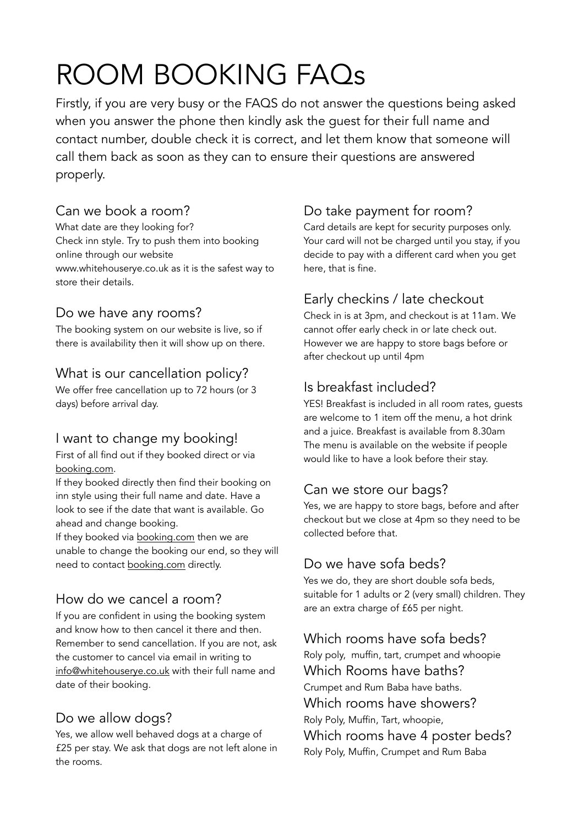## ROOM BOOKING FAQs

Firstly, if you are very busy or the FAQS do not answer the questions being asked when you answer the phone then kindly ask the guest for their full name and contact number, double check it is correct, and let them know that someone will call them back as soon as they can to ensure their questions are answered properly.

### Can we book a room?

What date are they looking for? Check inn style. Try to push them into booking online through our website www.whitehouserye.co.uk as it is the safest way to store their details.

### Do we have any rooms?

The booking system on our website is live, so if there is availability then it will show up on there.

### What is our cancellation policy?

We offer free cancellation up to 72 hours (or 3 days) before arrival day.

## I want to change my booking!

First of all find out if they booked direct or via [booking.com.](http://booking.com)

If they booked directly then find their booking on inn style using their full name and date. Have a look to see if the date that want is available. Go ahead and change booking.

If they booked via [booking.com](http://booking.com) then we are unable to change the booking our end, so they will need to contact [booking.com](http://booking.com) directly.

### How do we cancel a room?

If you are confident in using the booking system and know how to then cancel it there and then. Remember to send cancellation. If you are not, ask the customer to cancel via email in writing to [info@whitehouserye.co.uk](mailto:info@whitehouserye.co.uk) with their full name and date of their booking.

### Do we allow dogs?

Yes, we allow well behaved dogs at a charge of £25 per stay. We ask that dogs are not left alone in the rooms.

### Do take payment for room?

Card details are kept for security purposes only. Your card will not be charged until you stay, if you decide to pay with a different card when you get here, that is fine.

## Early checkins / late checkout

Check in is at 3pm, and checkout is at 11am. We cannot offer early check in or late check out. However we are happy to store bags before or after checkout up until 4pm

## Is breakfast included?

YES! Breakfast is included in all room rates, guests are welcome to 1 item off the menu, a hot drink and a juice. Breakfast is available from 8.30am The menu is available on the website if people would like to have a look before their stay.

### Can we store our bags?

Yes, we are happy to store bags, before and after checkout but we close at 4pm so they need to be collected before that.

### Do we have sofa beds?

Yes we do, they are short double sofa beds, suitable for 1 adults or 2 (very small) children. They are an extra charge of £65 per night.

### Which rooms have sofa beds?

Roly poly, muffin, tart, crumpet and whoopie Which Rooms have baths? Crumpet and Rum Baba have baths. Which rooms have showers? Roly Poly, Muffin, Tart, whoopie, Which rooms have 4 poster beds?

Roly Poly, Muffin, Crumpet and Rum Baba